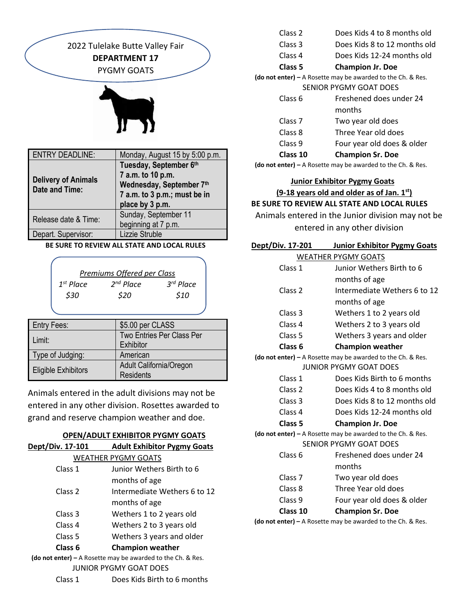

 **BE SURE TO REVIEW ALL STATE AND LOCAL RULES**

|                | Premiums Offered per Class |             |
|----------------|----------------------------|-------------|
| $1^{st}$ Place | $2^{nd}$ Place             | $3rd$ Place |
| \$30           | \$20                       | \$10        |
|                |                            |             |

| <b>Entry Fees:</b>         | \$5.00 per CLASS          |
|----------------------------|---------------------------|
| Limit:                     | Two Entries Per Class Per |
|                            | Exhibitor                 |
| Type of Judging:           | American                  |
|                            | Adult California/Oregon   |
| <b>Eligible Exhibitors</b> | <b>Residents</b>          |

Animals entered in the adult divisions may not be entered in any other division. Rosettes awarded to grand and reserve champion weather and doe.

### **OPEN/ADULT EXHIBITOR PYGMY GOATS**

| Dept/Div. 17-101   | <b>Adult Exhibitor Pygmy Goats</b>                          |
|--------------------|-------------------------------------------------------------|
|                    | <b>WEATHER PYGMY GOATS</b>                                  |
| Class 1            | Junior Wethers Birth to 6                                   |
|                    | months of age                                               |
| Class <sub>2</sub> | Intermediate Wethers 6 to 12                                |
|                    | months of age                                               |
| Class 3            | Wethers 1 to 2 years old                                    |
| Class 4            | Wethers 2 to 3 years old                                    |
| Class <sub>5</sub> | Wethers 3 years and older                                   |
| Class <sub>6</sub> | <b>Champion weather</b>                                     |
|                    | (do not enter) – A Rosette may be awarded to the Ch. & Res. |
|                    | JUNIOR PYGMY GOAT DOES                                      |
| Class 1            | Does Kids Birth to 6 months                                 |

| Class 2 | Does Kids 4 to 8 months old |  |
|---------|-----------------------------|--|
|         |                             |  |

- Class 3 Does Kids 8 to 12 months old
- Class 4 Does Kids 12-24 months old
- **Class 5 Champion Jr. Doe**

**(do not enter) –** A Rosette may be awarded to the Ch. & Res. SENIOR PYGMY GOAT DOES

| Class 10           | <b>Champion Sr. Doe</b>    |
|--------------------|----------------------------|
| Class 9            | Four year old does & older |
| Class 8            | Three Year old does        |
| Class <sub>7</sub> | Two year old does          |
|                    | months                     |
| Class 6            | Freshened does under 24    |

**(do not enter) –** A Rosette may be awarded to the Ch. & Res.

## **Junior Exhibitor Pygmy Goats (9-18 years old and older as of Jan. 1st) BE SURE TO REVIEW ALL STATE AND LOCAL RULES**

Animals entered in the Junior division may not be

entered in any other division

| Dept/Div. 17-201   | <b>Junior Exhibitor Pygmy Goats</b> |
|--------------------|-------------------------------------|
|                    | <b>WEATHER PYGMY GOATS</b>          |
| Class 1            | Junior Wethers Birth to 6           |
|                    | months of age                       |
| Class <sub>2</sub> | Intermediate Wethers 6 to 12        |
|                    | months of age                       |
| Class <sub>3</sub> | Wethers 1 to 2 years old            |
| Class <sub>4</sub> | Wethers 2 to 3 years old            |
| Class 5            | Wethers 3 years and older           |
| Class 6            | <b>Champion weather</b>             |

**(do not enter) –** A Rosette may be awarded to the Ch. & Res. JUNIOR PYGMY GOAT DOES

- Class 1 Does Kids Birth to 6 months
- Class 2 Does Kids 4 to 8 months old
- Class 3 Does Kids 8 to 12 months old
- Class 4 Does Kids 12-24 months old

**Class 5 Champion Jr. Doe**

**(do not enter) –** A Rosette may be awarded to the Ch. & Res. SENIOR PYGMY GOAT DOES

| Class 10           | <b>Champion Sr. Doe</b>    |
|--------------------|----------------------------|
| Class 9            | Four year old does & older |
| Class 8            | Three Year old does        |
| Class <sub>7</sub> | Two year old does          |
|                    | months                     |
| Class 6            | Freshened does under 24    |
|                    |                            |

 **(do not enter) –** A Rosette may be awarded to the Ch. & Res.